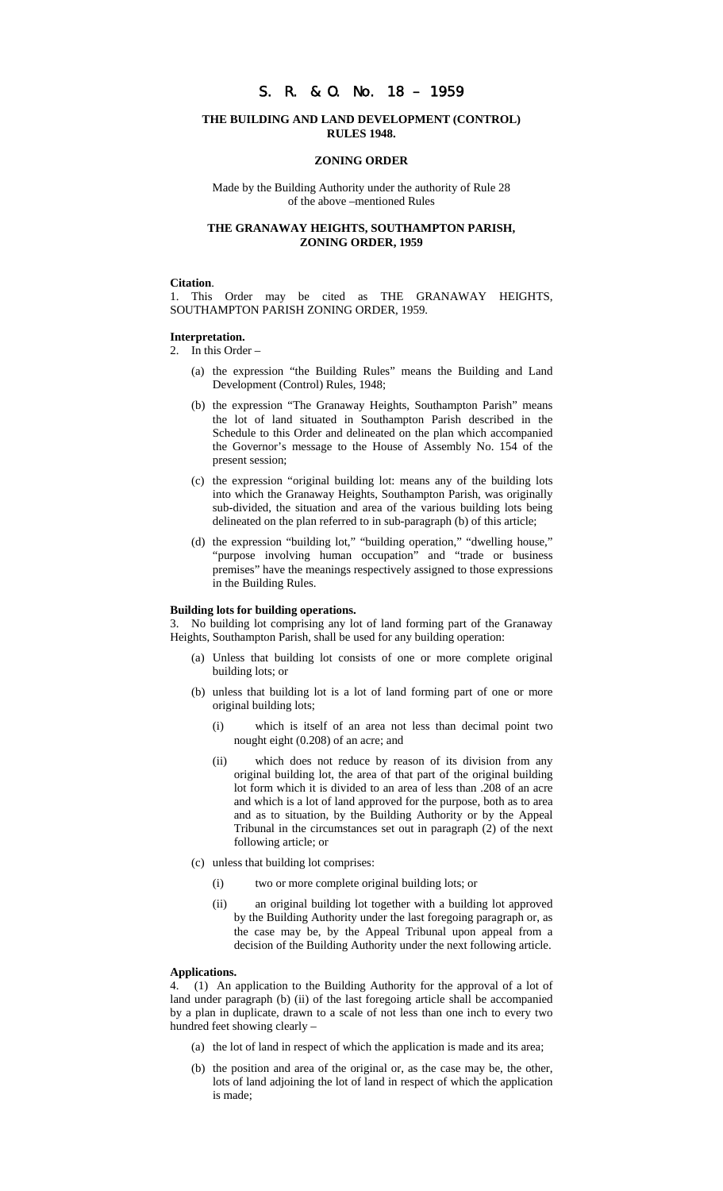# S. R. & O. No. 18 – 1959

## **THE BUILDING AND LAND DEVELOPMENT (CONTROL) RULES 1948.**

### **ZONING ORDER**

Made by the Building Authority under the authority of Rule 28 of the above –mentioned Rules

## **THE GRANAWAY HEIGHTS, SOUTHAMPTON PARISH, ZONING ORDER, 1959**

### **Citation**.

1. This Order may be cited as THE GRANAWAY HEIGHTS, SOUTHAMPTON PARISH ZONING ORDER, 1959.

## **Interpretation.**

- 2. In this Order
	- (a) the expression "the Building Rules" means the Building and Land Development (Control) Rules, 1948;
	- (b) the expression "The Granaway Heights, Southampton Parish" means the lot of land situated in Southampton Parish described in the Schedule to this Order and delineated on the plan which accompanied the Governor's message to the House of Assembly No. 154 of the present session;
	- (c) the expression "original building lot: means any of the building lots into which the Granaway Heights, Southampton Parish, was originally sub-divided, the situation and area of the various building lots being delineated on the plan referred to in sub-paragraph (b) of this article;
	- (d) the expression "building lot," "building operation," "dwelling house," "purpose involving human occupation" and "trade or business premises" have the meanings respectively assigned to those expressions in the Building Rules.

#### **Building lots for building operations.**

3. No building lot comprising any lot of land forming part of the Granaway Heights, Southampton Parish, shall be used for any building operation:

- (a) Unless that building lot consists of one or more complete original building lots; or
- (b) unless that building lot is a lot of land forming part of one or more original building lots;
	- (i) which is itself of an area not less than decimal point two nought eight (0.208) of an acre; and
	- (ii) which does not reduce by reason of its division from any original building lot, the area of that part of the original building lot form which it is divided to an area of less than .208 of an acre and which is a lot of land approved for the purpose, both as to area and as to situation, by the Building Authority or by the Appeal Tribunal in the circumstances set out in paragraph (2) of the next following article; or
- (c) unless that building lot comprises:
	- (i) two or more complete original building lots; or
	- (ii) an original building lot together with a building lot approved by the Building Authority under the last foregoing paragraph or, as the case may be, by the Appeal Tribunal upon appeal from a decision of the Building Authority under the next following article.

## **Applications.**

4. (1) An application to the Building Authority for the approval of a lot of land under paragraph (b) (ii) of the last foregoing article shall be accompanied by a plan in duplicate, drawn to a scale of not less than one inch to every two hundred feet showing clearly –

- (a) the lot of land in respect of which the application is made and its area;
- (b) the position and area of the original or, as the case may be, the other, lots of land adjoining the lot of land in respect of which the application is made;